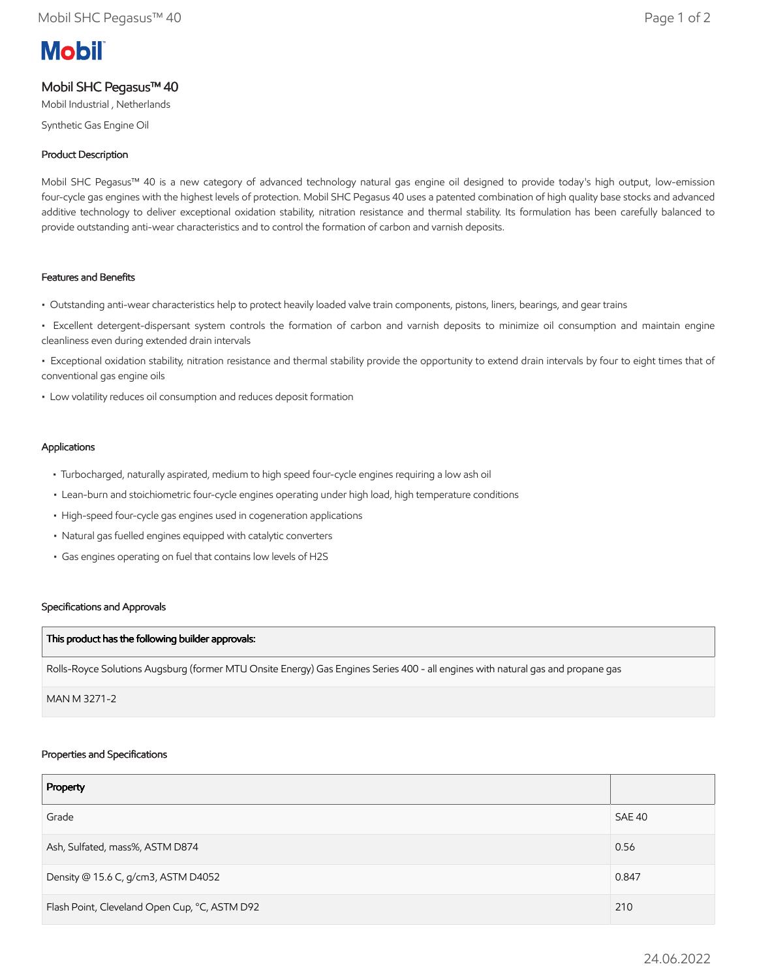# **Mobil**

# Mobil SHC Pegasus™ 40

Mobil Industrial , Netherlands

Synthetic Gas Engine Oil

# Product Description

Mobil SHC Pegasus™ 40 is a new category of advanced technology natural gas engine oil designed to provide today's high output, low-emission four-cycle gas engines with the highest levels of protection. Mobil SHC Pegasus 40 uses a patented combination of high quality base stocks and advanced additive technology to deliver exceptional oxidation stability, nitration resistance and thermal stability. Its formulation has been carefully balanced to provide outstanding anti-wear characteristics and to control the formation of carbon and varnish deposits.

## Features and Benefits

- Outstanding anti-wear characteristics help to protect heavily loaded valve train components, pistons, liners, bearings, and gear trains
- Excellent detergent-dispersant system controls the formation of carbon and varnish deposits to minimize oil consumption and maintain engine cleanliness even during extended drain intervals
- Exceptional oxidation stability, nitration resistance and thermal stability provide the opportunity to extend drain intervals by four to eight times that of conventional gas engine oils
- Low volatility reduces oil consumption and reduces deposit formation

## Applications

- Turbocharged, naturally aspirated, medium to high speed four-cycle engines requiring a low ash oil
- Lean-burn and stoichiometric four-cycle engines operating under high load, high temperature conditions
- High-speed four-cycle gas engines used in cogeneration applications
- Natural gas fuelled engines equipped with catalytic converters
- Gas engines operating on fuel that contains low levels of H2S

#### Specifications and Approvals

#### This product has the following builder approvals:

Rolls-Royce Solutions Augsburg (former MTU Onsite Energy) Gas Engines Series 400 - all engines with natural gas and propane gas

MAN M 3271-2

#### Properties and Specifications

| Property                                      |        |
|-----------------------------------------------|--------|
| Grade                                         | SAE 40 |
| Ash, Sulfated, mass%, ASTM D874               | 0.56   |
| Density @ 15.6 C, g/cm3, ASTM D4052           | 0.847  |
| Flash Point, Cleveland Open Cup, °C, ASTM D92 | 210    |